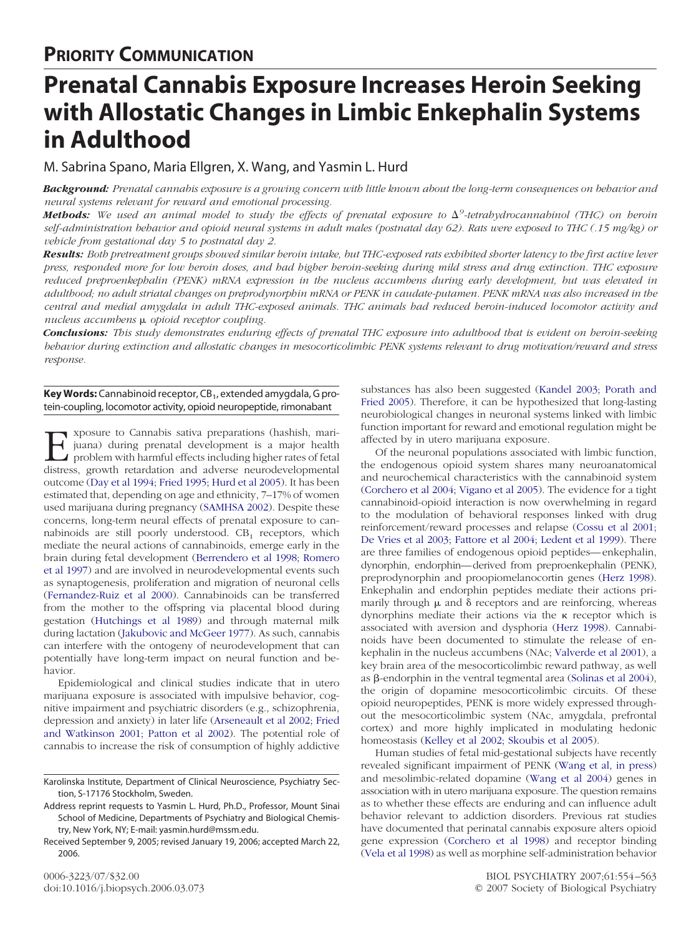# **Prenatal Cannabis Exposure Increases Heroin Seeking with Allostatic Changes in Limbic Enkephalin Systems in Adulthood**

# M. Sabrina Spano, Maria Ellgren, X. Wang, and Yasmin L. Hurd

*Background: Prenatal cannabis exposure is a growing concern with little known about the long-term consequences on behavior and neural systems relevant for reward and emotional processing.*

*Methods: We used an animal model to study the effects of prenatal exposure to <sup>9</sup> -tetrahydrocannabinol (THC) on heroin self-administration behavior and opioid neural systems in adult males (postnatal day 62). Rats were exposed to THC (.15 mg/kg) or vehicle from gestational day 5 to postnatal day 2.*

*Results: Both pretreatment groups showed similar heroin intake, but THC-exposed rats exhibited shorter latency to the first active lever press, responded more for low heroin doses, and had higher heroin-seeking during mild stress and drug extinction. THC exposure reduced preproenkephalin (PENK) mRNA expression in the nucleus accumbens during early development, but was elevated in adulthood; no adult striatal changes on preprodynorphin mRNA or PENK in caudate-putamen. PENK mRNA was also increased in the central and medial amygdala in adult THC-exposed animals. THC animals had reduced heroin-induced locomotor activity and* nucleus accumbens  $\mu$  opioid receptor coupling.

*Conclusions: This study demonstrates enduring effects of prenatal THC exposure into adulthood that is evident on heroin-seeking behavior during extinction and allostatic changes in mesocorticolimbic PENK systems relevant to drug motivation/reward and stress response.*

**Key Words:** Cannabinoid receptor, CB<sub>1</sub>, extended amygdala, G protein-coupling, locomotor activity, opioid neuropeptide, rimonabant

Exposure to Cannabis sativa preparations (hashish, mari-<br>juana) during prenatal development is a major health<br>problem with harmful effects including higher rates of fetal<br>distress growth retardation and adverse neurodevelo juana) during prenatal development is a major health **I** problem with harmful effects including higher rates of fetal distress, growth retardation and adverse neurodevelopmental outcome (Day et al [1994;](#page-8-0) Fried 1995; Hurd et al 2005). It has been estimated that, depending on age and ethnicity, 7–17% of women used marijuana during pregnancy [\(SAMHSA](#page-8-0) 2002). Despite these concerns, long-term neural effects of prenatal exposure to cannabinoids are still poorly understood.  $CB_1$  receptors, which mediate the neural actions of cannabinoids, emerge early in the brain during fetal development [\(Berrendero](#page-8-0) et al 1998; Romero et al [1997\)](#page-8-0) and are involved in neurodevelopmental events such as synaptogenesis, proliferation and migration of neuronal cells [\(Fernandez-Ruiz](#page-8-0) et al 2000). Cannabinoids can be transferred from the mother to the offspring via placental blood during gestation [\(Hutchings](#page-8-0) et al 1989) and through maternal milk during lactation [\(Jakubovic](#page-8-0) and McGeer 1977). As such, cannabis can interfere with the ontogeny of neurodevelopment that can potentially have long-term impact on neural function and behavior.

Epidemiological and clinical studies indicate that in utero marijuana exposure is associated with impulsive behavior, cognitive impairment and psychiatric disorders (e.g., schizophrenia, depression and anxiety) in later life [\(Arseneault](#page-7-0) et al 2002; Fried and [Watkinson](#page-7-0) 2001; Patton et al 2002). The potential role of cannabis to increase the risk of consumption of highly addictive

substances has also been suggested [\(Kandel](#page-8-0) 2003; Porath and [Fried](#page-8-0) 2005). Therefore, it can be hypothesized that long-lasting neurobiological changes in neuronal systems linked with limbic function important for reward and emotional regulation might be affected by in utero marijuana exposure.

Of the neuronal populations associated with limbic function, the endogenous opioid system shares many neuroanatomical and neurochemical characteristics with the cannabinoid system [\(Corchero](#page-8-0) et al 2004; Vigano et al 2005). The evidence for a tight cannabinoid-opioid interaction is now overwhelming in regard to the modulation of behavioral responses linked with drug reinforcement/reward processes and relapse [\(Cossu](#page-8-0) et al 2001; De Vries et al 2003; [Fattore](#page-8-0) et al 2004; Ledent et al 1999). There are three families of endogenous opioid peptides— enkephalin, dynorphin, endorphin—derived from preproenkephalin (PENK), preprodynorphin and proopiomelanocortin genes [\(Herz](#page-8-0) 1998). Enkephalin and endorphin peptides mediate their actions primarily through  $\mu$  and  $\delta$  receptors and are reinforcing, whereas dynorphins mediate their actions via the  $\kappa$  receptor which is associated with aversion and dysphoria (Herz [1998\)](#page-8-0). Cannabinoids have been documented to stimulate the release of enkephalin in the nucleus accumbens (NAc; [Valverde](#page-9-0) et al 2001), a key brain area of the mesocorticolimbic reward pathway, as well as  $\beta$ -endorphin in the ventral tegmental area [\(Solinas](#page-8-0) et al 2004), the origin of dopamine mesocorticolimbic circuits. Of these opioid neuropeptides, PENK is more widely expressed throughout the mesocorticolimbic system (NAc, amygdala, prefrontal cortex) and more highly implicated in modulating hedonic homeostasis (Kelley et al 2002; [Skoubis](#page-8-0) et al 2005).

Human studies of fetal mid-gestational subjects have recently revealed significant impairment of PENK [\(Wang](#page-9-0) et al, in press) and mesolimbic-related dopamine [\(Wang](#page-9-0) et al 2004) genes in association with in utero marijuana exposure. The question remains as to whether these effects are enduring and can influence adult behavior relevant to addiction disorders. Previous rat studies have documented that perinatal cannabis exposure alters opioid gene expression [\(Corchero](#page-8-0) et al 1998) and receptor binding (Vela et al [1998\)](#page-9-0) as well as morphine self-administration behavior

Karolinska Institute, Department of Clinical Neuroscience, Psychiatry Section, S-17176 Stockholm, Sweden.

Address reprint requests to Yasmin L. Hurd, Ph.D., Professor, Mount Sinai School of Medicine, Departments of Psychiatry and Biological Chemistry, New York, NY; E-mail: yasmin.hurd@mssm.edu.

Received September 9, 2005; revised January 19, 2006; accepted March 22, 2006.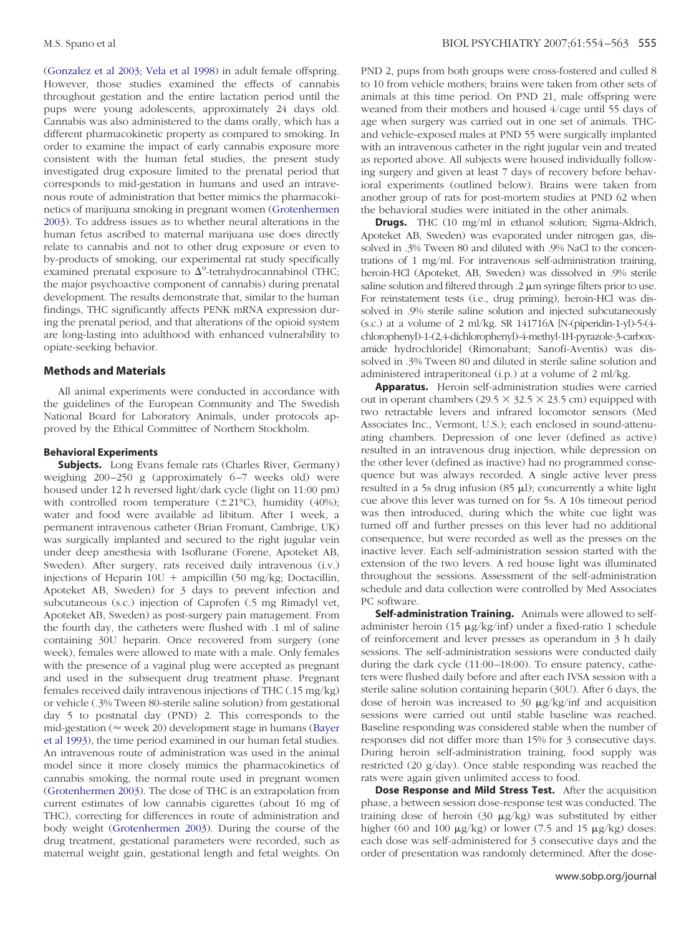[\(Gonzalez](#page-8-0) et al 2003; Vela et al 1998) in adult female offspring. However, those studies examined the effects of cannabis throughout gestation and the entire lactation period until the pups were young adolescents, approximately 24 days old. Cannabis was also administered to the dams orally, which has a different pharmacokinetic property as compared to smoking. In order to examine the impact of early cannabis exposure more consistent with the human fetal studies, the present study investigated drug exposure limited to the prenatal period that corresponds to mid-gestation in humans and used an intravenous route of administration that better mimics the pharmacokinetics of marijuana smoking in pregnant women [\(Grotenhermen](#page-8-0) [2003\)](#page-8-0). To address issues as to whether neural alterations in the human fetus ascribed to maternal marijuana use does directly relate to cannabis and not to other drug exposure or even to by-products of smoking, our experimental rat study specifically examined prenatal exposure to  $\Delta^9$ -tetrahydrocannabinol (THC; the major psychoactive component of cannabis) during prenatal development. The results demonstrate that, similar to the human findings, THC significantly affects PENK mRNA expression during the prenatal period, and that alterations of the opioid system are long-lasting into adulthood with enhanced vulnerability to opiate-seeking behavior.

### **Methods and Materials**

All animal experiments were conducted in accordance with the guidelines of the European Community and The Swedish National Board for Laboratory Animals, under protocols approved by the Ethical Committee of Northern Stockholm.

#### **Behavioral Experiments**

**Subjects.** Long Evans female rats (Charles River, Germany) weighing 200-250 g (approximately 6-7 weeks old) were housed under 12 h reversed light/dark cycle (light on 11:00 pm) with controlled room temperature  $(\pm 21^{\circ}C)$ , humidity (40%); water and food were available ad libitum. After 1 week, a permanent intravenous catheter (Brian Fromant, Cambrige, UK) was surgically implanted and secured to the right jugular vein under deep anesthesia with Isoflurane (Forene, Apoteket AB, Sweden). After surgery, rats received daily intravenous (i.v.) injections of Heparin  $10U +$  ampicillin (50 mg/kg; Doctacillin, Apoteket AB, Sweden) for 3 days to prevent infection and subcutaneous (s.c.) injection of Caprofen (.5 mg Rimadyl vet, Apoteket AB, Sweden) as post-surgery pain management. From the fourth day, the catheters were flushed with .1 ml of saline containing 30U heparin. Once recovered from surgery (one week), females were allowed to mate with a male. Only females with the presence of a vaginal plug were accepted as pregnant and used in the subsequent drug treatment phase. Pregnant females received daily intravenous injections of THC (.15 mg/kg) or vehicle (.3% Tween 80-sterile saline solution) from gestational day 5 to postnatal day (PND) 2. This corresponds to the mid-gestation ( $\approx$  week 20) development stage in humans [\(Bayer](#page-7-0) et al [1993\)](#page-7-0), the time period examined in our human fetal studies. An intravenous route of administration was used in the animal model since it more closely mimics the pharmacokinetics of cannabis smoking, the normal route used in pregnant women [\(Grotenhermen](#page-8-0) 2003). The dose of THC is an extrapolation from current estimates of low cannabis cigarettes (about 16 mg of THC), correcting for differences in route of administration and body weight [\(Grotenhermen](#page-8-0) 2003). During the course of the drug treatment, gestational parameters were recorded, such as maternal weight gain, gestational length and fetal weights. On PND 2, pups from both groups were cross-fostered and culled 8 to 10 from vehicle mothers; brains were taken from other sets of animals at this time period. On PND 21, male offspring were weaned from their mothers and housed 4/cage until 55 days of age when surgery was carried out in one set of animals. THCand vehicle-exposed males at PND 55 were surgically implanted with an intravenous catheter in the right jugular vein and treated as reported above. All subjects were housed individually following surgery and given at least 7 days of recovery before behavioral experiments (outlined below). Brains were taken from another group of rats for post-mortem studies at PND 62 when the behavioral studies were initiated in the other animals.

**Drugs.** THC (10 mg/ml in ethanol solution; Sigma-Aldrich, Apoteket AB, Sweden) was evaporated under nitrogen gas, dissolved in .3% Tween 80 and diluted with .9% NaCl to the concentrations of 1 mg/ml. For intravenous self-administration training, heroin-HCl (Apoteket, AB, Sweden) was dissolved in .9% sterile saline solution and filtered through .2  $\mu$ m syringe filters prior to use. For reinstatement tests (i.e., drug priming), heroin-HCl was dissolved in .9% sterile saline solution and injected subcutaneously (s.c.) at a volume of 2 ml/kg. SR 141716A [N-(piperidin-1-yl)-5-(4 chlorophenyl)-1-(2,4-dichlorophenyl)-4-methyl-1H-pyrazole-3-carboxamide hydrochloride] (Rimonabant; Sanofi-Aventis) was dissolved in .3% Tween 80 and diluted in sterile saline solution and administered intraperitoneal (i.p.) at a volume of 2 ml/kg.

**Apparatus.** Heroin self-administration studies were carried out in operant chambers (29.5  $\times$  32.5  $\times$  23.5 cm) equipped with two retractable levers and infrared locomotor sensors (Med Associates Inc., Vermont, U.S.); each enclosed in sound-attenuating chambers. Depression of one lever (defined as active) resulted in an intravenous drug injection, while depression on the other lever (defined as inactive) had no programmed consequence but was always recorded. A single active lever press resulted in a 5s drug infusion  $(85 \mu l)$ ; concurrently a white light cue above this lever was turned on for 5s. A 10s timeout period was then introduced, during which the white cue light was turned off and further presses on this lever had no additional consequence, but were recorded as well as the presses on the inactive lever. Each self-administration session started with the extension of the two levers. A red house light was illuminated throughout the sessions. Assessment of the self-administration schedule and data collection were controlled by Med Associates PC software.

**Self-administration Training.** Animals were allowed to selfadminister heroin (15 µg/kg/inf) under a fixed-ratio 1 schedule of reinforcement and lever presses as operandum in 3 h daily sessions. The self-administration sessions were conducted daily during the dark cycle (11:00-18:00). To ensure patency, catheters were flushed daily before and after each IVSA session with a sterile saline solution containing heparin (30U). After 6 days, the dose of heroin was increased to 30  $\mu$ g/kg/inf and acquisition sessions were carried out until stable baseline was reached. Baseline responding was considered stable when the number of responses did not differ more than 15% for 3 consecutive days. During heroin self-administration training, food supply was restricted (20 g/day). Once stable responding was reached the rats were again given unlimited access to food.

**Dose Response and Mild Stress Test.** After the acquisition phase, a between session dose-response test was conducted. The training dose of heroin (30  $\mu$ g/kg) was substituted by either higher (60 and 100  $\mu$ g/kg) or lower (7.5 and 15  $\mu$ g/kg) doses: each dose was self-administered for 3 consecutive days and the order of presentation was randomly determined. After the dose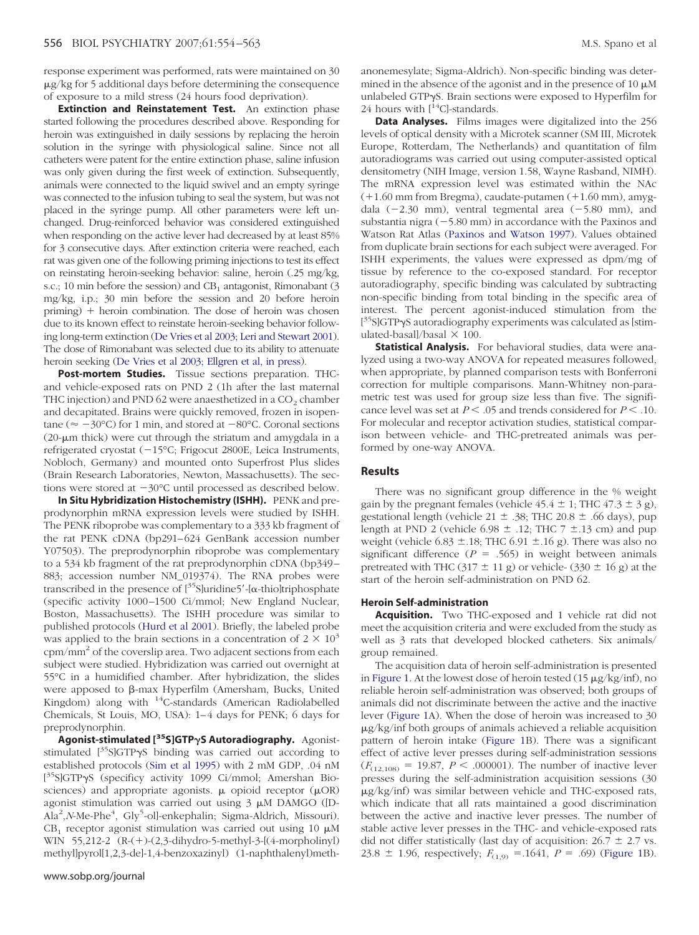response experiment was performed, rats were maintained on 30 -g/kg for 5 additional days before determining the consequence of exposure to a mild stress (24 hours food deprivation).

**Extinction and Reinstatement Test.** An extinction phase started following the procedures described above. Responding for heroin was extinguished in daily sessions by replacing the heroin solution in the syringe with physiological saline. Since not all catheters were patent for the entire extinction phase, saline infusion was only given during the first week of extinction. Subsequently, animals were connected to the liquid swivel and an empty syringe was connected to the infusion tubing to seal the system, but was not placed in the syringe pump. All other parameters were left unchanged. Drug-reinforced behavior was considered extinguished when responding on the active lever had decreased by at least 85% for 3 consecutive days. After extinction criteria were reached, each rat was given one of the following priming injections to test its effect on reinstating heroin-seeking behavior: saline, heroin (.25 mg/kg, s.c.; 10 min before the session) and  $CB_1$  antagonist, Rimonabant (3) mg/kg, i.p.; 30 min before the session and 20 before heroin priming)  $+$  heroin combination. The dose of heroin was chosen due to its known effect to reinstate heroin-seeking behavior following long-term extinction (De Vries et al 2003; Leri and [Stewart](#page-8-0) 2001). The dose of Rimonabant was selected due to its ability to attenuate heroin seeking (De Vries et al 2003; [Ellgren](#page-8-0) et al, in press).

**Post-mortem Studies.** Tissue sections preparation. THCand vehicle-exposed rats on PND 2 (1h after the last maternal THC injection) and PND 62 were anaesthetized in a  $CO<sub>2</sub>$  chamber and decapitated. Brains were quickly removed, frozen in isopentane ( $\approx -30$ °C) for 1 min, and stored at  $-80$ °C. Coronal sections  $(20 - \mu m)$  thick) were cut through the striatum and amygdala in a refrigerated cryostat ( 15°C; Frigocut 2800E, Leica Instruments, Nobloch, Germany) and mounted onto Superfrost Plus slides (Brain Research Laboratories, Newton, Massachusetts). The sections were stored at 30°C until processed as described below.

**In Situ Hybridization Histochemistry (ISHH).** PENK and preprodynorphin mRNA expression levels were studied by ISHH. The PENK riboprobe was complementary to a 333 kb fragment of the rat PENK cDNA (bp291-624 GenBank accession number Y07503). The preprodynorphin riboprobe was complementary to a 534 kb fragment of the rat preprodynorphin cDNA (bp349 – 883; accession number NM\_019374). The RNA probes were transcribed in the presence of  $[^{35}S]$ uridine5'-[ $\alpha$ -thio]triphosphate (specific activity 1000 –1500 Ci/mmol; New England Nuclear, Boston, Massachusetts). The ISHH procedure was similar to published protocols [\(Hurd](#page-8-0) et al 2001). Briefly, the labeled probe was applied to the brain sections in a concentration of  $2 \times 10^3$ cpm/mm2 of the coverslip area. Two adjacent sections from each subject were studied. Hybridization was carried out overnight at 55°C in a humidified chamber. After hybridization, the slides were apposed to β-max Hyperfilm (Amersham, Bucks, United Kingdom) along with <sup>14</sup>C-standards (American Radiolabelled Chemicals, St Louis, MO, USA): 1-4 days for PENK; 6 days for preprodynorphin.

**Agonist-stimulated [35S]GTPS Autoradiography.** Agoniststimulated [<sup>35</sup>S]GTPyS binding was carried out according to established protocols (Sim et al [1995\)](#page-8-0) with 2 mM GDP, .04 nM [<sup>35</sup>S]GTPyS (specificy activity 1099 Ci/mmol; Amershan Biosciences) and appropriate agonists.  $\mu$  opioid receptor ( $\mu$ OR) agonist stimulation was carried out using 3  $\mu$ M DAMGO ([D-Ala<sup>2</sup>, N-Me-Phe<sup>4</sup>, Gly<sup>5</sup>-oll-enkephalin; Sigma-Aldrich, Missouri). CB<sub>1</sub> receptor agonist stimulation was carried out using 10  $\mu$ M WIN 55,212-2  $(R-(+)-(2,3-dihydro-5-methyl-3-[(4-morpholiny])$ methyl]pyrol[1,2,3-de]-1,4-benzoxazinyl) (1-naphthalenyl)methanonemesylate; Sigma-Aldrich). Non-specific binding was determined in the absence of the agonist and in the presence of  $10 \mu M$ unlabeled GTPyS. Brain sections were exposed to Hyperfilm for 24 hours with  $[$ <sup>14</sup>C]-standards.

**Data Analyses.** Films images were digitalized into the 256 levels of optical density with a Microtek scanner (SM III, Microtek Europe, Rotterdam, The Netherlands) and quantitation of film autoradiograms was carried out using computer-assisted optical densitometry (NIH Image, version 1.58, Wayne Rasband, NIMH). The mRNA expression level was estimated within the NAc  $(+1.60$  mm from Bregma), caudate-putamen  $(+1.60$  mm), amygdala ( 2.30 mm), ventral tegmental area ( 5.80 mm), and substantia nigra ( 5.80 mm) in accordance with the Paxinos and Watson Rat Atlas [\(Paxinos](#page-8-0) and Watson 1997). Values obtained from duplicate brain sections for each subject were averaged. For ISHH experiments, the values were expressed as dpm/mg of tissue by reference to the co-exposed standard. For receptor autoradiography, specific binding was calculated by subtracting non-specific binding from total binding in the specific area of interest. The percent agonist-induced stimulation from the [<sup>35</sup>S]GTPyS autoradiography experiments was calculated as [stimulated-basal]/basal  $\times$  100.

**Statistical Analysis.** For behavioral studies, data were analyzed using a two-way ANOVA for repeated measures followed, when appropriate, by planned comparison tests with Bonferroni correction for multiple comparisons. Mann-Whitney non-parametric test was used for group size less than five. The significance level was set at  $P \le 0.05$  and trends considered for  $P \le 0.10$ . For molecular and receptor activation studies, statistical comparison between vehicle- and THC-pretreated animals was performed by one-way ANOVA.

#### **Results**

There was no significant group difference in the % weight gain by the pregnant females (vehicle  $45.4 \pm 1$ ; THC  $47.3 \pm 3$  g), gestational length (vehicle  $21 \pm .38$ ; THC  $20.8 \pm .66$  days), pup length at PND 2 (vehicle 6.98  $\pm$  .12; THC 7  $\pm$ .13 cm) and pup weight (vehicle 6.83  $\pm$ .18; THC 6.91  $\pm$ .16 g). There was also no significant difference ( $P = .565$ ) in weight between animals pretreated with THC (317  $\pm$  11 g) or vehicle- (330  $\pm$  16 g) at the start of the heroin self-administration on PND 62.

#### **Heroin Self-administration**

**Acquisition.** Two THC-exposed and 1 vehicle rat did not meet the acquisition criteria and were excluded from the study as well as 3 rats that developed blocked catheters. Six animals/ group remained.

The acquisition data of heroin self-administration is presented in [Figure](#page-3-0) 1. At the lowest dose of heroin tested  $(15 \mu g/kg/inf)$ , no reliable heroin self-administration was observed; both groups of animals did not discriminate between the active and the inactive lever [\(Figure](#page-3-0) 1A). When the dose of heroin was increased to 30 -g/kg/inf both groups of animals achieved a reliable acquisition pattern of heroin intake [\(Figure](#page-3-0) 1B). There was a significant effect of active lever presses during self-administration sessions  $(F_{(12,108)} = 19.87, P \leq .000001)$ . The number of inactive lever presses during the self-administration acquisition sessions (30 -g/kg/inf) was similar between vehicle and THC-exposed rats, which indicate that all rats maintained a good discrimination between the active and inactive lever presses. The number of stable active lever presses in the THC- and vehicle-exposed rats did not differ statistically (last day of acquisition:  $26.7 \pm 2.7$  vs. 23.8  $\pm$  1.96, respectively;  $F_{(1,9)} = 0.1641$ ,  $P = 0.69$  [\(Figure](#page-3-0) 1B).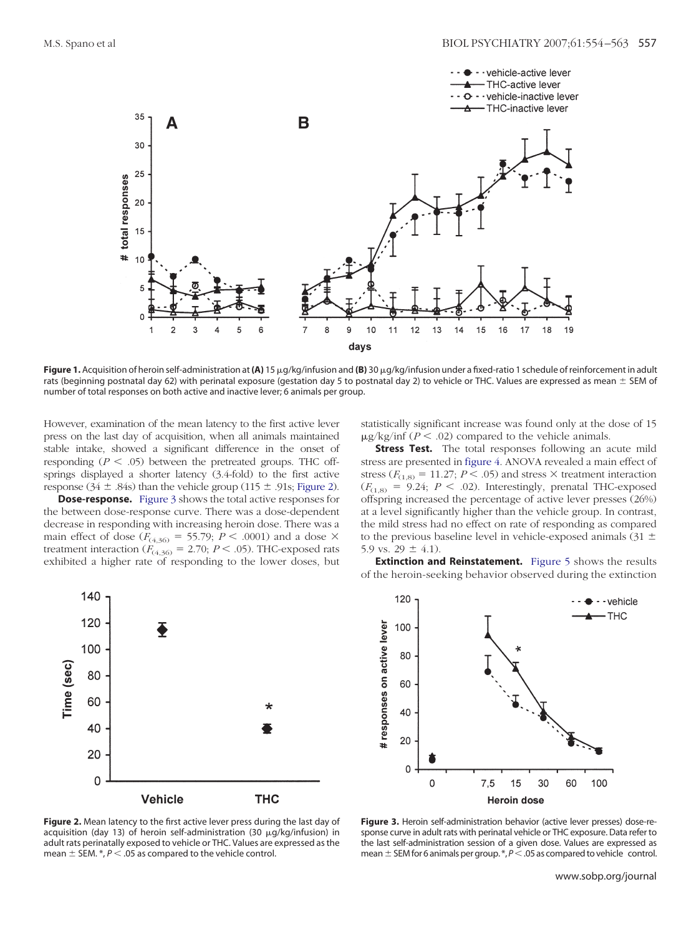<span id="page-3-0"></span>

Figure 1. Acquisition of heroin self-administration at (A) 15 µg/kg/infusion and (B) 30 µg/kg/infusion under a fixed-ratio 1 schedule of reinforcement in adult rats (beginning postnatal day 62) with perinatal exposure (gestation day 5 to postnatal day 2) to vehicle or THC. Values are expressed as mean  $\pm$  SEM of number of total responses on both active and inactive lever; 6 animals per group.

However, examination of the mean latency to the first active lever press on the last day of acquisition, when all animals maintained stable intake, showed a significant difference in the onset of responding  $(P < .05)$  between the pretreated groups. THC offsprings displayed a shorter latency (3.4-fold) to the first active response (34  $\pm$  .84s) than the vehicle group (115  $\pm$  .91s; Figure 2).

**Dose-response.** Figure 3 shows the total active responses for the between dose-response curve. There was a dose-dependent decrease in responding with increasing heroin dose. There was a main effect of dose  $(F_{(4,36)} = 55.79; P \lt .0001)$  and a dose  $\times$ treatment interaction ( $F_{(4,36)}$  = 2.70; *P* < .05). THC-exposed rats exhibited a higher rate of responding to the lower doses, but



**Figure 2.** Mean latency to the first active lever press during the last day of acquisition (day 13) of heroin self-administration (30  $\mu$ g/kg/infusion) in adult rats perinatally exposed to vehicle or THC. Values are expressed as the mean  $\pm$  SEM.  $^*$ ,  $P <$  .05 as compared to the vehicle control.

statistically significant increase was found only at the dose of 15  $\mu$ g/kg/inf ( $P < .02$ ) compared to the vehicle animals.

**Stress Test.** The total responses following an acute mild stress are presented in [figure](#page-4-0) 4. ANOVA revealed a main effect of stress ( $F_{(1,8)}$  = 11.27;  $P < .05$ ) and stress  $\times$  treatment interaction  $(F<sub>(1,8)</sub> = 9.24; P < .02)$ . Interestingly, prenatal THC-exposed offspring increased the percentage of active lever presses (26%) at a level significantly higher than the vehicle group. In contrast, the mild stress had no effect on rate of responding as compared to the previous baseline level in vehicle-exposed animals (31  $\pm$ 5.9 vs.  $29 \pm 4.1$ ).

**Extinction and Reinstatement.** [Figure](#page-4-0) 5 shows the results of the heroin-seeking behavior observed during the extinction



**Figure 3.** Heroin self-administration behavior (active lever presses) dose-response curve in adult rats with perinatal vehicle or THC exposure. Data refer to the last self-administration session of a given dose. Values are expressed as mean  $\pm$  SEM for 6 animals per group. \*,  $P < 0.05$  as compared to vehicle control.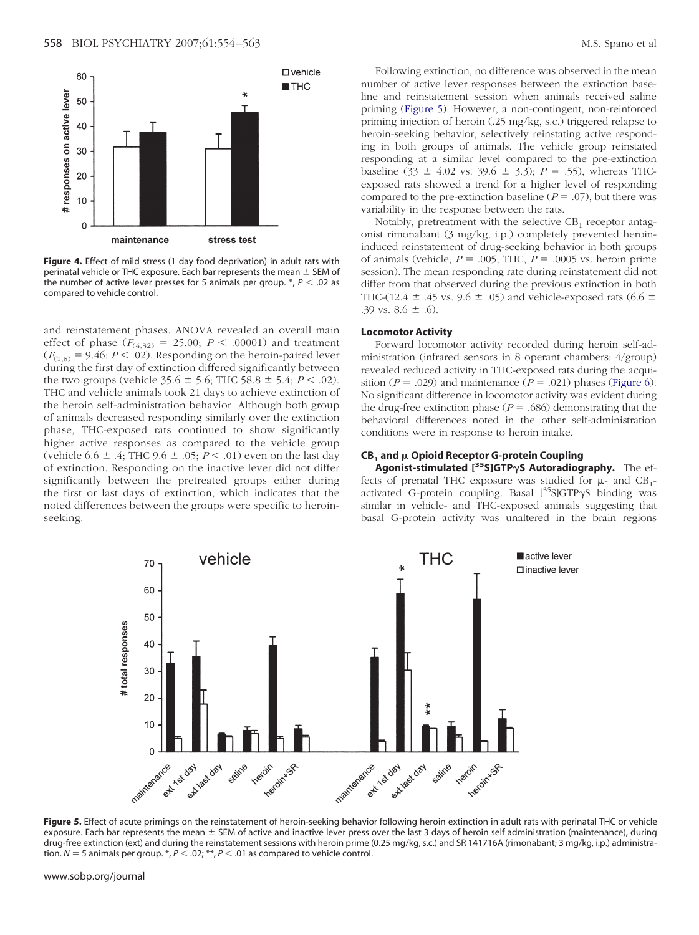<span id="page-4-0"></span>

**Figure 4.** Effect of mild stress (1 day food deprivation) in adult rats with perinatal vehicle or THC exposure. Each bar represents the mean  $\pm$  SEM of the number of active lever presses for 5 animals per group.  $*$ ,  $P < .02$  as compared to vehicle control.

and reinstatement phases. ANOVA revealed an overall main effect of phase  $(F_{(4,32)} = 25.00; P \lt .00001)$  and treatment  $(F_{(1,8)} = 9.46; P < .02)$ . Responding on the heroin-paired lever during the first day of extinction differed significantly between the two groups (vehicle  $35.6 \pm 5.6$ ; THC  $58.8 \pm 5.4$ ;  $P \leq .02$ ). THC and vehicle animals took 21 days to achieve extinction of the heroin self-administration behavior. Although both group of animals decreased responding similarly over the extinction phase, THC-exposed rats continued to show significantly higher active responses as compared to the vehicle group (vehicle  $6.6 \pm .4$ ; THC  $9.6 \pm .05$ ;  $P \le .01$ ) even on the last day of extinction. Responding on the inactive lever did not differ significantly between the pretreated groups either during the first or last days of extinction, which indicates that the noted differences between the groups were specific to heroinseeking.

Following extinction, no difference was observed in the mean number of active lever responses between the extinction baseline and reinstatement session when animals received saline priming (Figure 5). However, a non-contingent, non-reinforced priming injection of heroin (.25 mg/kg, s.c.) triggered relapse to heroin-seeking behavior, selectively reinstating active responding in both groups of animals. The vehicle group reinstated responding at a similar level compared to the pre-extinction baseline (33  $\pm$  4.02 vs. 39.6  $\pm$  3.3); *P* = .55), whereas THCexposed rats showed a trend for a higher level of responding compared to the pre-extinction baseline ( $P = .07$ ), but there was variability in the response between the rats.

Notably, pretreatment with the selective  $CB_1$  receptor antagonist rimonabant (3 mg/kg, i.p.) completely prevented heroininduced reinstatement of drug-seeking behavior in both groups of animals (vehicle,  $P = .005$ ; THC,  $P = .0005$  vs. heroin prime session). The mean responding rate during reinstatement did not differ from that observed during the previous extinction in both THC-(12.4  $\pm$  .45 vs. 9.6  $\pm$  .05) and vehicle-exposed rats (6.6  $\pm$ .39 vs.  $8.6 \pm .6$ .

#### **Locomotor Activity**

Forward locomotor activity recorded during heroin self-administration (infrared sensors in 8 operant chambers; 4/group) revealed reduced activity in THC-exposed rats during the acquisition ( $P = .029$ ) and maintenance ( $P = .021$ ) phases [\(Figure](#page-5-0) 6). No significant difference in locomotor activity was evident during the drug-free extinction phase ( $P = .686$ ) demonstrating that the behavioral differences noted in the other self-administration conditions were in response to heroin intake.

## **CB<sub>1</sub>** and μ Opioid Receptor G-protein Coupling

**Agonist-stimulated [35S]GTPS Autoradiography.** The effects of prenatal THC exposure was studied for  $\mu$ - and CB<sub>1</sub>activated G-protein coupling. Basal  $[358]$ GTP $\gamma$ S binding was similar in vehicle- and THC-exposed animals suggesting that basal G-protein activity was unaltered in the brain regions



Figure 5. Effect of acute primings on the reinstatement of heroin-seeking behavior following heroin extinction in adult rats with perinatal THC or vehicle exposure. Each bar represents the mean  $\pm$  SEM of active and inactive lever press over the last 3 days of heroin self administration (maintenance), during drug-free extinction (ext) and during the reinstatement sessions with heroin prime (0.25 mg/kg, s.c.) and SR 141716A (rimonabant; 3 mg/kg, i.p.) administration.  $N = 5$  animals per group. \*,  $P < .02$ ; \*\*,  $P < .01$  as compared to vehicle control.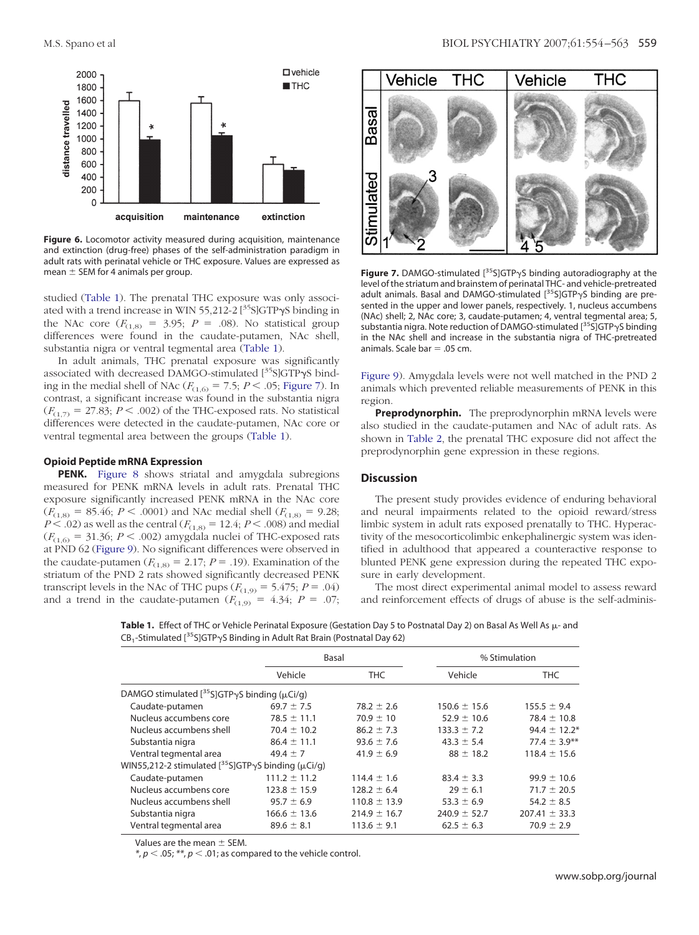<span id="page-5-0"></span>

Figure 6. Locomotor activity measured during acquisition, maintenance and extinction (drug-free) phases of the self-administration paradigm in adult rats with perinatal vehicle or THC exposure. Values are expressed as mean  $\pm$  SEM for 4 animals per group.

studied (Table 1). The prenatal THC exposure was only associated with a trend increase in WIN 55,212-2  $[^{35}S]GTP\gamma S$  binding in the NAc core  $(F_{(1,8)} = 3.95; P = .08)$ . No statistical group differences were found in the caudate-putamen, NAc shell, substantia nigra or ventral tegmental area (Table 1).

In adult animals, THC prenatal exposure was significantly associated with decreased DAMGO-stimulated  $[^{35}S]GTP\gamma S$  binding in the medial shell of NAc ( $F_{(1,6)} = 7.5$ ;  $P \le .05$ ; Figure 7). In contrast, a significant increase was found in the substantia nigra  $(F_{(1,7)} = 27.83; P < .002)$  of the THC-exposed rats. No statistical differences were detected in the caudate-putamen, NAc core or ventral tegmental area between the groups (Table 1).

#### **Opioid Peptide mRNA Expression**

**PENK.** [Figure](#page-6-0) 8 shows striatal and amygdala subregions measured for PENK mRNA levels in adult rats. Prenatal THC exposure significantly increased PENK mRNA in the NAc core  $(F_{(1,8)} = 85.46; P < .0001)$  and NAc medial shell  $(F_{(1,8)} = 9.28;$ *P*  $\lt$  .02) as well as the central (*F*<sub>(1,8)</sub> = 12.4; *P*  $\lt$  .008) and medial  $(F_{(1,6)} = 31.36; P < .002)$  amygdala nuclei of THC-exposed rats at PND 62 [\(Figure](#page-6-0) 9). No significant differences were observed in the caudate-putamen ( $F_{(1,8)} = 2.17$ ;  $P = .19$ ). Examination of the striatum of the PND 2 rats showed significantly decreased PENK transcript levels in the NAc of THC pups  $(F_{(1,9)} = 5.475; P = .04)$ and a trend in the caudate-putamen  $(F_{(1,9)} = 4.34; P = .07;$ 



**Figure 7.** DAMGO-stimulated  $[^{35}S]$ GTP $\gamma$ S binding autoradiography at the level of the striatum and brainstem of perinatal THC- and vehicle-pretreated adult animals. Basal and DAMGO-stimulated  $[^{35}S]GTP\gamma S$  binding are presented in the upper and lower panels, respectively. 1, nucleus accumbens (NAc) shell; 2, NAc core; 3, caudate-putamen; 4, ventral tegmental area; 5, substantia nigra. Note reduction of DAMGO-stimulated  $[^{35}S]$ GTP $\gamma$ S binding in the NAc shell and increase in the substantia nigra of THC-pretreated animals. Scale bar  $= .05$  cm.

[Figure](#page-6-0) 9). Amygdala levels were not well matched in the PND 2 animals which prevented reliable measurements of PENK in this region.

**Preprodynorphin.** The preprodynorphin mRNA levels were also studied in the caudate-putamen and NAc of adult rats. As shown in [Table](#page-6-0) 2, the prenatal THC exposure did not affect the preprodynorphin gene expression in these regions.

#### **Discussion**

The present study provides evidence of enduring behavioral and neural impairments related to the opioid reward/stress limbic system in adult rats exposed prenatally to THC. Hyperactivity of the mesocorticolimbic enkephalinergic system was identified in adulthood that appeared a counteractive response to blunted PENK gene expression during the repeated THC exposure in early development.

The most direct experimental animal model to assess reward and reinforcement effects of drugs of abuse is the self-adminis-

Table 1. Effect of THC or Vehicle Perinatal Exposure (Gestation Day 5 to Postnatal Day 2) on Basal As Well As µ- and  $CB_1$ -Stimulated  $[^{35}S]$ GTP $\gamma$ S Binding in Adult Rat Brain (Postnatal Day 62)

|                                                                    | Basal            |                  | % Stimulation    |                   |
|--------------------------------------------------------------------|------------------|------------------|------------------|-------------------|
|                                                                    | Vehicle          | THC              | Vehicle          | <b>THC</b>        |
| DAMGO stimulated $[^{35}S]GTP\gamma S$ binding ( $\mu$ Ci/g)       |                  |                  |                  |                   |
| Caudate-putamen                                                    | $69.7 \pm 7.5$   | $78.2 \pm 2.6$   | $150.6 \pm 15.6$ | $155.5 \pm 9.4$   |
| Nucleus accumbens core                                             | $78.5 \pm 11.1$  | $70.9 \pm 10$    | $52.9 \pm 10.6$  | 78.4 $\pm$ 10.8   |
| Nucleus accumbens shell                                            | $70.4 \pm 10.2$  | $86.2 \pm 7.3$   | $133.3 \pm 7.2$  | $94.4 \pm 12.2*$  |
| Substantia nigra                                                   | $86.4 \pm 11.1$  | $93.6 \pm 7.6$   | $43.3 \pm 5.4$   | $77.4 \pm 3.9***$ |
| Ventral tegmental area                                             | $49.4 \pm 7$     | $41.9 \pm 6.9$   | $88 \pm 18.2$    | $118.4 \pm 15.6$  |
| WIN55,212-2 stimulated $[^{35}S]GTP\gamma S$ binding ( $\mu$ Ci/g) |                  |                  |                  |                   |
| Caudate-putamen                                                    | $111.2 \pm 11.2$ | $114.4 \pm 1.6$  | $83.4 \pm 3.3$   | $99.9 \pm 10.6$   |
| Nucleus accumbens core                                             | $123.8 \pm 15.9$ | $128.2 \pm 6.4$  | $29 \pm 6.1$     | $71.7 \pm 20.5$   |
| Nucleus accumbens shell                                            | $95.7 \pm 6.9$   | $110.8 \pm 13.9$ | 53.3 $\pm$ 6.9   | 54.2 $\pm$ 8.5    |
| Substantia nigra                                                   | $166.6 \pm 13.6$ | $214.9 \pm 16.7$ | $240.9 \pm 52.7$ | $207.41 \pm 33.3$ |
| Ventral tegmental area                                             | $89.6 \pm 8.1$   | $113.6 \pm 9.1$  | $62.5 \pm 6.3$   | $70.9 \pm 2.9$    |

Values are the mean  $\pm$  SEM.

 $$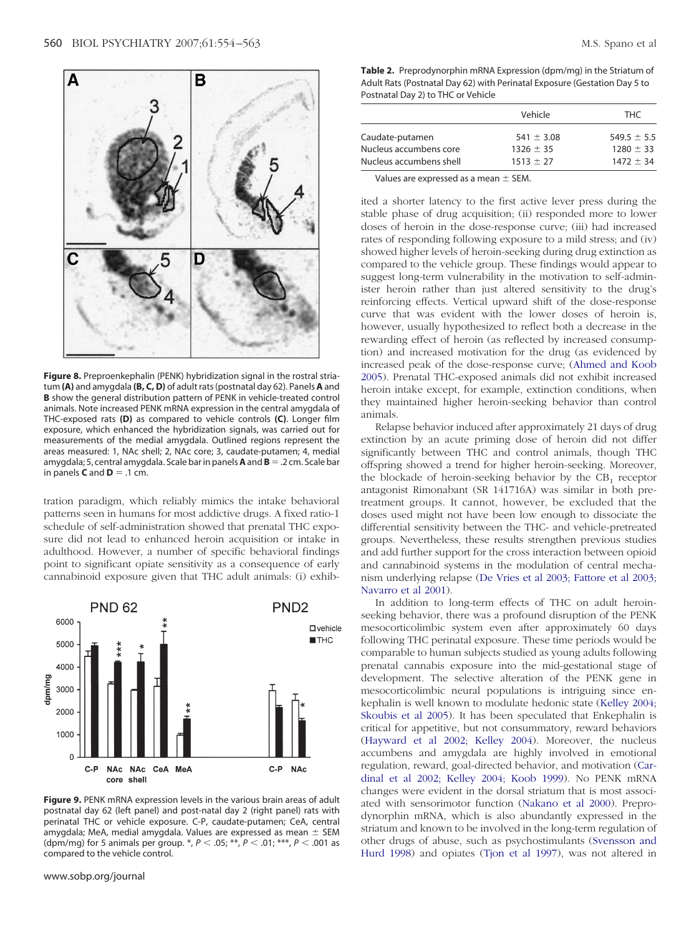<span id="page-6-0"></span>

**Figure 8.** Preproenkephalin (PENK) hybridization signal in the rostral striatum **(A)** and amygdala **(B, C, D)** of adult rats (postnatal day 62). Panels**A** and **B** show the general distribution pattern of PENK in vehicle-treated control animals. Note increased PENK mRNA expression in the central amygdala of THC-exposed rats **(D)** as compared to vehicle controls **(C)**. Longer film exposure, which enhanced the hybridization signals, was carried out for measurements of the medial amygdala. Outlined regions represent the areas measured: 1, NAc shell; 2, NAc core; 3, caudate-putamen; 4, medial amygdala; 5, central amygdala. Scale bar in panels**A**and**B** .2 cm. Scale bar in panels  $C$  and  $D = .1$  cm.

tration paradigm, which reliably mimics the intake behavioral patterns seen in humans for most addictive drugs. A fixed ratio-1 schedule of self-administration showed that prenatal THC exposure did not lead to enhanced heroin acquisition or intake in adulthood. However, a number of specific behavioral findings point to significant opiate sensitivity as a consequence of early cannabinoid exposure given that THC adult animals: (i) exhib-



**Figure 9.** PENK mRNA expression levels in the various brain areas of adult postnatal day 62 (left panel) and post-natal day 2 (right panel) rats with perinatal THC or vehicle exposure. C-P, caudate-putamen; CeA, central amygdala; MeA, medial amygdala. Values are expressed as mean  $\pm$  SEM (dpm/mg) for 5 animals per group. \*,  $P < .05$ ; \*\*,  $P < .01$ ; \*\*\*,  $P < .001$  as compared to the vehicle control.

**Table 2.** Preprodynorphin mRNA Expression (dpm/mg) in the Striatum of Adult Rats (Postnatal Day 62) with Perinatal Exposure (Gestation Day 5 to Postnatal Day 2) to THC or Vehicle

|                                           | Vehicle                         | THC.                             |
|-------------------------------------------|---------------------------------|----------------------------------|
| Caudate-putamen<br>Nucleus accumbens core | $541 \pm 3.08$<br>$1326 \pm 35$ | $549.5 \pm 5.5$<br>$1280 \pm 33$ |
| Nucleus accumbens shell                   | $1513 \pm 27$                   | $1472 + 34$                      |

Values are expressed as a mean  $\pm$  SEM.

ited a shorter latency to the first active lever press during the stable phase of drug acquisition; (ii) responded more to lower doses of heroin in the dose-response curve; (iii) had increased rates of responding following exposure to a mild stress; and (iv) showed higher levels of heroin-seeking during drug extinction as compared to the vehicle group. These findings would appear to suggest long-term vulnerability in the motivation to self-administer heroin rather than just altered sensitivity to the drug's reinforcing effects. Vertical upward shift of the dose-response curve that was evident with the lower doses of heroin is, however, usually hypothesized to reflect both a decrease in the rewarding effect of heroin (as reflected by increased consumption) and increased motivation for the drug (as evidenced by increased peak of the dose-response curve; [\(Ahmed](#page-7-0) and Koob [2005\)](#page-7-0). Prenatal THC-exposed animals did not exhibit increased heroin intake except, for example, extinction conditions, when they maintained higher heroin-seeking behavior than control animals.

Relapse behavior induced after approximately 21 days of drug extinction by an acute priming dose of heroin did not differ significantly between THC and control animals, though THC offspring showed a trend for higher heroin-seeking. Moreover, the blockade of heroin-seeking behavior by the  $CB_1$  receptor antagonist Rimonabant (SR 141716A) was similar in both pretreatment groups. It cannot, however, be excluded that the doses used might not have been low enough to dissociate the differential sensitivity between the THC- and vehicle-pretreated groups. Nevertheless, these results strengthen previous studies and add further support for the cross interaction between opioid and cannabinoid systems in the modulation of central mechanism underlying relapse (De Vries et al 2003; [Fattore](#page-8-0) et al 2003; [Navarro](#page-8-0) et al 2001).

In addition to long-term effects of THC on adult heroinseeking behavior, there was a profound disruption of the PENK mesocorticolimbic system even after approximately 60 days following THC perinatal exposure. These time periods would be comparable to human subjects studied as young adults following prenatal cannabis exposure into the mid-gestational stage of development. The selective alteration of the PENK gene in mesocorticolimbic neural populations is intriguing since enkephalin is well known to modulate hedonic state [\(Kelley](#page-8-0) 2004; [Skoubis](#page-8-0) et al 2005). It has been speculated that Enkephalin is critical for appetitive, but not consummatory, reward behaviors [\(Hayward](#page-8-0) et al 2002; Kelley 2004). Moreover, the nucleus accumbens and amygdala are highly involved in emotional regulation, reward, goal-directed behavior, and motivation [\(Car](#page-8-0)dinal et al 2002; [Kelley](#page-8-0) 2004; Koob 1999). No PENK mRNA changes were evident in the dorsal striatum that is most associated with sensorimotor function [\(Nakano](#page-8-0) et al 2000). Preprodynorphin mRNA, which is also abundantly expressed in the striatum and known to be involved in the long-term regulation of other drugs of abuse, such as psychostimulants [\(Svensson](#page-9-0) and [Hurd](#page-9-0) 1998) and opiates (Tjon et al [1997\)](#page-9-0), was not altered in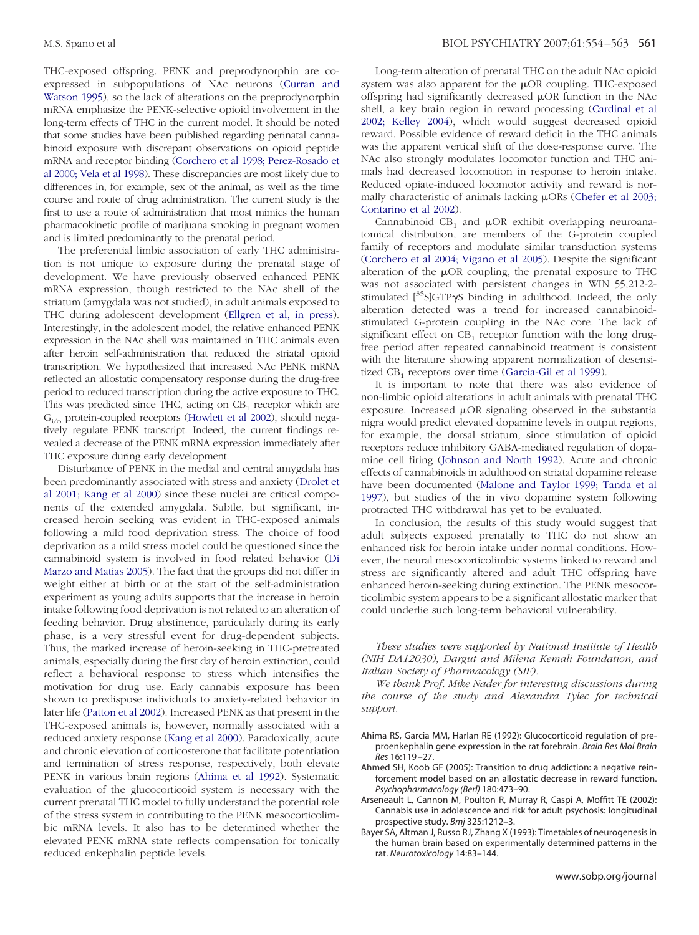<span id="page-7-0"></span>THC-exposed offspring. PENK and preprodynorphin are coexpressed in subpopulations of NAc neurons [\(Curran](#page-8-0) and [Watson](#page-8-0) 1995), so the lack of alterations on the preprodynorphin mRNA emphasize the PENK-selective opioid involvement in the long-term effects of THC in the current model. It should be noted that some studies have been published regarding perinatal cannabinoid exposure with discrepant observations on opioid peptide mRNA and receptor binding (Corchero et al 1998; [Perez-Rosado](#page-8-0) et al [2000;](#page-8-0) Vela et al 1998). These discrepancies are most likely due to differences in, for example, sex of the animal, as well as the time course and route of drug administration. The current study is the first to use a route of administration that most mimics the human pharmacokinetic profile of marijuana smoking in pregnant women and is limited predominantly to the prenatal period.

The preferential limbic association of early THC administration is not unique to exposure during the prenatal stage of development. We have previously observed enhanced PENK mRNA expression, though restricted to the NAc shell of the striatum (amygdala was not studied), in adult animals exposed to THC during adolescent development [\(Ellgren](#page-8-0) et al, in press). Interestingly, in the adolescent model, the relative enhanced PENK expression in the NAc shell was maintained in THC animals even after heroin self-administration that reduced the striatal opioid transcription. We hypothesized that increased NAc PENK mRNA reflected an allostatic compensatory response during the drug-free period to reduced transcription during the active exposure to THC. This was predicted since THC, acting on  $CB_1$  receptor which are  $G<sub>i/o</sub>$  protein-coupled receptors [\(Howlett](#page-8-0) et al 2002), should negatively regulate PENK transcript. Indeed, the current findings revealed a decrease of the PENK mRNA expression immediately after THC exposure during early development.

Disturbance of PENK in the medial and central amygdala has been predominantly associated with stress and anxiety [\(Drolet](#page-8-0) et al [2001;](#page-8-0) Kang et al 2000) since these nuclei are critical components of the extended amygdala. Subtle, but significant, increased heroin seeking was evident in THC-exposed animals following a mild food deprivation stress. The choice of food deprivation as a mild stress model could be questioned since the cannabinoid system is involved in food related behavior [\(Di](#page-8-0) Marzo and [Matias](#page-8-0) 2005). The fact that the groups did not differ in weight either at birth or at the start of the self-administration experiment as young adults supports that the increase in heroin intake following food deprivation is not related to an alteration of feeding behavior. Drug abstinence, particularly during its early phase, is a very stressful event for drug-dependent subjects. Thus, the marked increase of heroin-seeking in THC-pretreated animals, especially during the first day of heroin extinction, could reflect a behavioral response to stress which intensifies the motivation for drug use. Early cannabis exposure has been shown to predispose individuals to anxiety-related behavior in later life [\(Patton](#page-8-0) et al 2002). Increased PENK as that present in the THC-exposed animals is, however, normally associated with a reduced anxiety response [\(Kang](#page-8-0) et al 2000). Paradoxically, acute and chronic elevation of corticosterone that facilitate potentiation and termination of stress response, respectively, both elevate PENK in various brain regions (Ahima et al 1992). Systematic evaluation of the glucocorticoid system is necessary with the current prenatal THC model to fully understand the potential role of the stress system in contributing to the PENK mesocorticolimbic mRNA levels. It also has to be determined whether the elevated PENK mRNA state reflects compensation for tonically reduced enkephalin peptide levels.

Long-term alteration of prenatal THC on the adult NAc opioid system was also apparent for the  $\mu$ OR coupling. THC-exposed offspring had significantly decreased  $\mu$ OR function in the NAc shell, a key brain region in reward processing [\(Cardinal](#page-8-0) et al 2002; [Kelley](#page-8-0) 2004), which would suggest decreased opioid reward. Possible evidence of reward deficit in the THC animals was the apparent vertical shift of the dose-response curve. The NAc also strongly modulates locomotor function and THC animals had decreased locomotion in response to heroin intake. Reduced opiate-induced locomotor activity and reward is nor-mally characteristic of animals lacking µORs [\(Chefer](#page-8-0) et al 2003; [Contarino](#page-8-0) et al 2002).

Cannabinoid  $CB_1$  and  $\mu$ OR exhibit overlapping neuroanatomical distribution, are members of the G-protein coupled family of receptors and modulate similar transduction systems [\(Corchero](#page-8-0) et al 2004; Vigano et al 2005). Despite the significant alteration of the  $\mu$ OR coupling, the prenatal exposure to THC was not associated with persistent changes in WIN 55,212-2 stimulated  $[35S] GTP\gamma S$  binding in adulthood. Indeed, the only alteration detected was a trend for increased cannabinoidstimulated G-protein coupling in the NAc core. The lack of significant effect on  $CB_1$  receptor function with the long drugfree period after repeated cannabinoid treatment is consistent with the literature showing apparent normalization of desensitized  $CB_1$  receptors over time [\(Garcia-Gil](#page-8-0) et al 1999).

It is important to note that there was also evidence of non-limbic opioid alterations in adult animals with prenatal THC exposure. Increased  $\mu$ OR signaling observed in the substantia nigra would predict elevated dopamine levels in output regions, for example, the dorsal striatum, since stimulation of opioid receptors reduce inhibitory GABA-mediated regulation of dopamine cell firing [\(Johnson](#page-8-0) and North 1992). Acute and chronic effects of cannabinoids in adulthood on striatal dopamine release have been documented [\(Malone](#page-8-0) and Taylor 1999; Tanda et al [1997\)](#page-8-0), but studies of the in vivo dopamine system following protracted THC withdrawal has yet to be evaluated.

In conclusion, the results of this study would suggest that adult subjects exposed prenatally to THC do not show an enhanced risk for heroin intake under normal conditions. However, the neural mesocorticolimbic systems linked to reward and stress are significantly altered and adult THC offspring have enhanced heroin-seeking during extinction. The PENK mesocorticolimbic system appears to be a significant allostatic marker that could underlie such long-term behavioral vulnerability.

*These studies were supported by National Institute of Health (NIH DA12030), Dargut and Milena Kemali Foundation, and Italian Society of Pharmacology (SIF).*

*We thank Prof. Mike Nader for interesting discussions during the course of the study and Alexandra Tylec for technical support.*

- Ahima RS, Garcia MM, Harlan RE (1992): Glucocorticoid regulation of preproenkephalin gene expression in the rat forebrain. *Brain Res Mol Brain Res* 16:119 –27.
- Ahmed SH, Koob GF (2005): Transition to drug addiction: a negative reinforcement model based on an allostatic decrease in reward function. *Psychopharmacology (Berl)* 180:473–90.
- Arseneault L, Cannon M, Poulton R, Murray R, Caspi A, Moffitt TE (2002): Cannabis use in adolescence and risk for adult psychosis: longitudinal prospective study. *Bmj* 325:1212–3.
- Bayer SA, Altman J, Russo RJ, Zhang X (1993): Timetables of neurogenesis in the human brain based on experimentally determined patterns in the rat. *Neurotoxicology* 14:83–144.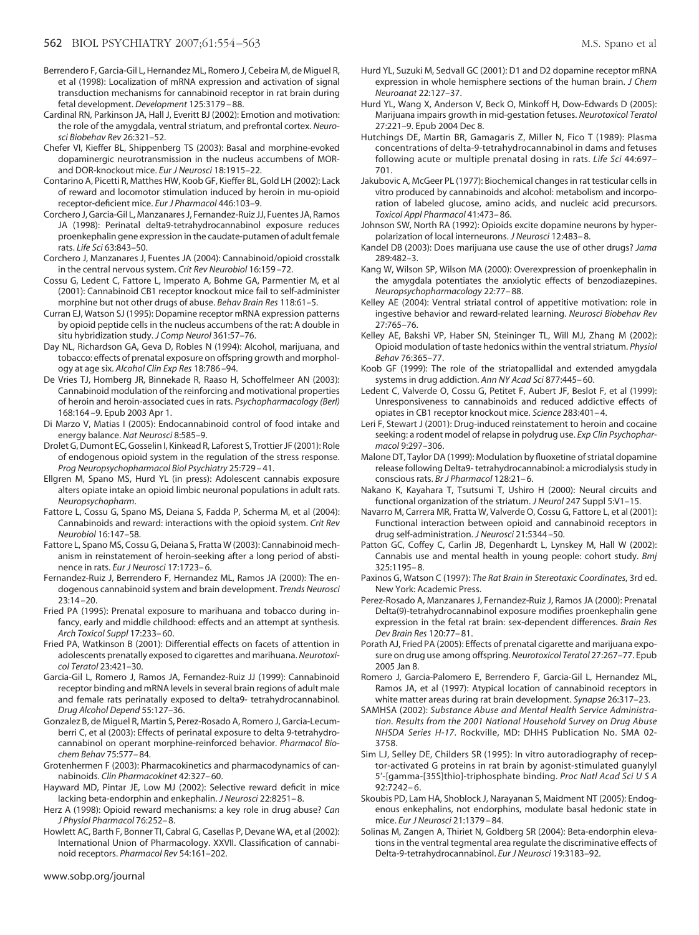- <span id="page-8-0"></span>Berrendero F, Garcia-Gil L, Hernandez ML, Romero J, Cebeira M, de Miguel R, et al (1998): Localization of mRNA expression and activation of signal transduction mechanisms for cannabinoid receptor in rat brain during fetal development. *Development* 125:3179 – 88.
- Cardinal RN, Parkinson JA, Hall J, Everitt BJ (2002): Emotion and motivation: the role of the amygdala, ventral striatum, and prefrontal cortex. *Neurosci Biobehav Rev* 26:321–52.
- Chefer VI, Kieffer BL, Shippenberg TS (2003): Basal and morphine-evoked dopaminergic neurotransmission in the nucleus accumbens of MORand DOR-knockout mice. *Eur J Neurosci* 18:1915–22.
- Contarino A, Picetti R, Matthes HW, Koob GF, Kieffer BL, Gold LH (2002): Lack of reward and locomotor stimulation induced by heroin in mu-opioid receptor-deficient mice. *Eur J Pharmacol* 446:103–9.
- Corchero J, Garcia-Gil L, Manzanares J, Fernandez-Ruiz JJ, Fuentes JA, Ramos JA (1998): Perinatal delta9-tetrahydrocannabinol exposure reduces proenkephalin gene expression in the caudate-putamen of adult female rats. *Life Sci* 63:843–50.
- Corchero J, Manzanares J, Fuentes JA (2004): Cannabinoid/opioid crosstalk in the central nervous system. *Crit Rev Neurobiol* 16:159 –72.
- Cossu G, Ledent C, Fattore L, Imperato A, Bohme GA, Parmentier M, et al (2001): Cannabinoid CB1 receptor knockout mice fail to self-administer morphine but not other drugs of abuse. *Behav Brain Res* 118:61–5.
- Curran EJ, Watson SJ (1995): Dopamine receptor mRNA expression patterns by opioid peptide cells in the nucleus accumbens of the rat: A double in situ hybridization study. *J Comp Neurol* 361:57–76.
- Day NL, Richardson GA, Geva D, Robles N (1994): Alcohol, marijuana, and tobacco: effects of prenatal exposure on offspring growth and morphology at age six. *Alcohol Clin Exp Res* 18:786 –94.
- De Vries TJ, Homberg JR, Binnekade R, Raaso H, Schoffelmeer AN (2003): Cannabinoid modulation of the reinforcing and motivational properties of heroin and heroin-associated cues in rats. *Psychopharmacology (Berl)* 168:164 –9. Epub 2003 Apr 1.
- Di Marzo V, Matias I (2005): Endocannabinoid control of food intake and energy balance. *Nat Neurosci* 8:585–9.
- Drolet G, Dumont EC, Gosselin I, Kinkead R, Laforest S, Trottier JF (2001): Role of endogenous opioid system in the regulation of the stress response. *Prog Neuropsychopharmacol Biol Psychiatry* 25:729 – 41.
- Ellgren M, Spano MS, Hurd YL (in press): Adolescent cannabis exposure alters opiate intake an opioid limbic neuronal populations in adult rats. *Neuropsychopharm*.
- Fattore L, Cossu G, Spano MS, Deiana S, Fadda P, Scherma M, et al (2004): Cannabinoids and reward: interactions with the opioid system. *Crit Rev Neurobiol* 16:147–58.
- Fattore L, Spano MS, Cossu G, Deiana S, Fratta W (2003): Cannabinoid mechanism in reinstatement of heroin-seeking after a long period of abstinence in rats. *Eur J Neurosci* 17:1723– 6.
- Fernandez-Ruiz J, Berrendero F, Hernandez ML, Ramos JA (2000): The endogenous cannabinoid system and brain development. *Trends Neurosci* 23:14 –20.
- Fried PA (1995): Prenatal exposure to marihuana and tobacco during infancy, early and middle childhood: effects and an attempt at synthesis. *Arch Toxicol Suppl* 17:233– 60.
- Fried PA, Watkinson B (2001): Differential effects on facets of attention in adolescents prenatally exposed to cigarettes and marihuana. *Neurotoxicol Teratol* 23:421–30.
- Garcia-Gil L, Romero J, Ramos JA, Fernandez-Ruiz JJ (1999): Cannabinoid receptor binding and mRNA levels in several brain regions of adult male and female rats perinatally exposed to delta9- tetrahydrocannabinol. *Drug Alcohol Depend* 55:127–36.
- Gonzalez B, de Miguel R, Martin S, Perez-Rosado A, Romero J, Garcia-Lecumberri C, et al (2003): Effects of perinatal exposure to delta 9-tetrahydrocannabinol on operant morphine-reinforced behavior. *Pharmacol Biochem Behav* 75:577– 84.
- Grotenhermen F (2003): Pharmacokinetics and pharmacodynamics of cannabinoids. *Clin Pharmacokinet* 42:327– 60.
- Hayward MD, Pintar JE, Low MJ (2002): Selective reward deficit in mice lacking beta-endorphin and enkephalin. *J Neurosci* 22:8251– 8.
- Herz A (1998): Opioid reward mechanisms: a key role in drug abuse? *Can J Physiol Pharmacol* 76:252– 8.
- Howlett AC, Barth F, Bonner TI, Cabral G, Casellas P, Devane WA, et al (2002): International Union of Pharmacology. XXVII. Classification of cannabinoid receptors. *Pharmacol Rev* 54:161–202.
- Hurd YL, Suzuki M, Sedvall GC (2001): D1 and D2 dopamine receptor mRNA expression in whole hemisphere sections of the human brain. *J Chem Neuroanat* 22:127–37.
- Hurd YL, Wang X, Anderson V, Beck O, Minkoff H, Dow-Edwards D (2005): Marijuana impairs growth in mid-gestation fetuses. *Neurotoxicol Teratol* 27:221–9. Epub 2004 Dec 8.
- Hutchings DE, Martin BR, Gamagaris Z, Miller N, Fico T (1989): Plasma concentrations of delta-9-tetrahydrocannabinol in dams and fetuses following acute or multiple prenatal dosing in rats. *Life Sci* 44:697– 701.
- Jakubovic A, McGeer PL (1977): Biochemical changes in rat testicular cells in vitro produced by cannabinoids and alcohol: metabolism and incorporation of labeled glucose, amino acids, and nucleic acid precursors. *Toxicol Appl Pharmacol* 41:473– 86.
- Johnson SW, North RA (1992): Opioids excite dopamine neurons by hyperpolarization of local interneurons. *J Neurosci* 12:483– 8.
- Kandel DB (2003): Does marijuana use cause the use of other drugs? *Jama* 289:482–3.
- Kang W, Wilson SP, Wilson MA (2000): Overexpression of proenkephalin in the amygdala potentiates the anxiolytic effects of benzodiazepines. *Neuropsychopharmacology* 22:77– 88.
- Kelley AE (2004): Ventral striatal control of appetitive motivation: role in ingestive behavior and reward-related learning. *Neurosci Biobehav Rev* 27:765–76.
- Kelley AE, Bakshi VP, Haber SN, Steininger TL, Will MJ, Zhang M (2002): Opioid modulation of taste hedonics within the ventral striatum. *Physiol Behav* 76:365–77.
- Koob GF (1999): The role of the striatopallidal and extended amygdala systems in drug addiction. *Ann NY Acad Sci* 877:445– 60.
- Ledent C, Valverde O, Cossu G, Petitet F, Aubert JF, Beslot F, et al (1999): Unresponsiveness to cannabinoids and reduced addictive effects of opiates in CB1 receptor knockout mice. *Science* 283:401– 4.
- Leri F, Stewart J (2001): Drug-induced reinstatement to heroin and cocaine seeking: a rodent model of relapse in polydrug use. *Exp Clin Psychopharmacol* 9:297–306.
- Malone DT, Taylor DA (1999): Modulation by fluoxetine of striatal dopamine release following Delta9- tetrahydrocannabinol: a microdialysis study in conscious rats. *Br J Pharmacol* 128:21-6.
- Nakano K, Kayahara T, Tsutsumi T, Ushiro H (2000): Neural circuits and functional organization of the striatum. *J Neurol* 247 Suppl 5:V1–15.
- Navarro M, Carrera MR, Fratta W, Valverde O, Cossu G, Fattore L, et al (2001): Functional interaction between opioid and cannabinoid receptors in drug self-administration. *J Neurosci* 21:5344 –50.
- Patton GC, Coffey C, Carlin JB, Degenhardt L, Lynskey M, Hall W (2002): Cannabis use and mental health in young people: cohort study. *Bmj* 325:1195– 8.
- Paxinos G, Watson C (1997): *The Rat Brain in Stereotaxic Coordinates*, 3rd ed. New York: Academic Press.
- Perez-Rosado A, Manzanares J, Fernandez-Ruiz J, Ramos JA (2000): Prenatal Delta(9)-tetrahydrocannabinol exposure modifies proenkephalin gene expression in the fetal rat brain: sex-dependent differences. *Brain Res Dev Brain Res* 120:77– 81.
- Porath AJ, Fried PA (2005): Effects of prenatal cigarette and marijuana exposure on drug use among offspring. *Neurotoxicol Teratol* 27:267–77. Epub 2005 Jan 8.
- Romero J, Garcia-Palomero E, Berrendero F, Garcia-Gil L, Hernandez ML, Ramos JA, et al (1997): Atypical location of cannabinoid receptors in white matter areas during rat brain development. *Synapse* 26:317–23.
- SAMHSA (2002): *Substance Abuse and Mental Health Service Administration. Results from the 2001 National Household Survey on Drug Abuse NHSDA Series H-17*. Rockville, MD: DHHS Publication No. SMA 02- 3758.
- Sim LJ, Selley DE, Childers SR (1995): In vitro autoradiography of receptor-activated G proteins in rat brain by agonist-stimulated guanylyl 5'-[gamma-[35S]thio]-triphosphate binding. *Proc Natl Acad SciUSA* 92:7242– 6.
- Skoubis PD, Lam HA, Shoblock J, Narayanan S, Maidment NT (2005): Endogenous enkephalins, not endorphins, modulate basal hedonic state in mice. *Eur J Neurosci* 21:1379 – 84.
- Solinas M, Zangen A, Thiriet N, Goldberg SR (2004): Beta-endorphin elevations in the ventral tegmental area regulate the discriminative effects of Delta-9-tetrahydrocannabinol. *Eur J Neurosci* 19:3183–92.